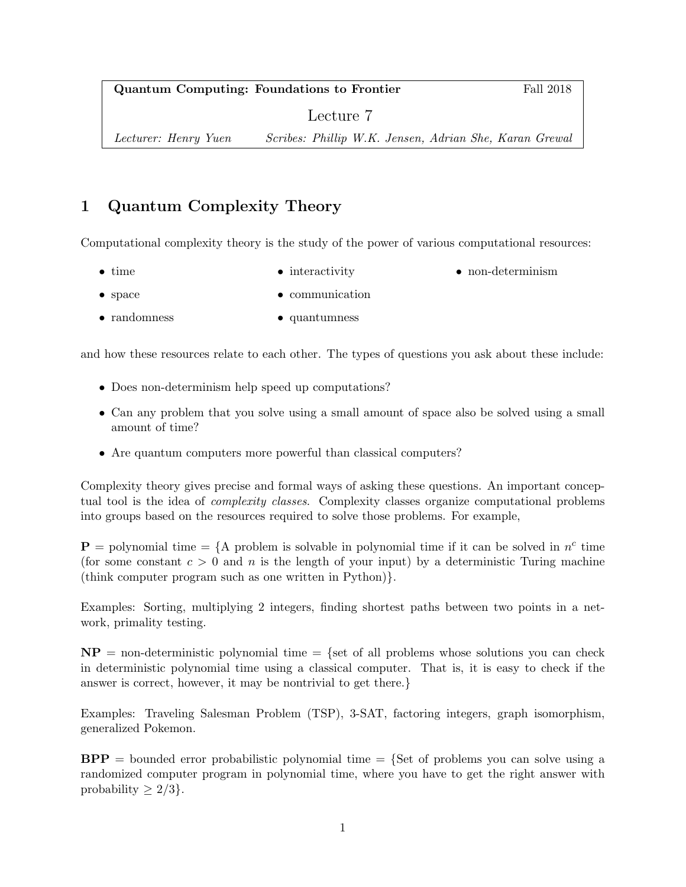Quantum Computing: Foundations to Frontier Fall 2018

• non-determinism

Lecture 7

Lecturer: Henry Yuen Scribes: Phillip W.K. Jensen, Adrian She, Karan Grewal

# 1 Quantum Complexity Theory

Computational complexity theory is the study of the power of various computational resources:

- time • interactivity
- space • communication
- randomness • quantumness

and how these resources relate to each other. The types of questions you ask about these include:

- Does non-determinism help speed up computations?
- Can any problem that you solve using a small amount of space also be solved using a small amount of time?
- Are quantum computers more powerful than classical computers?

Complexity theory gives precise and formal ways of asking these questions. An important conceptual tool is the idea of complexity classes. Complexity classes organize computational problems into groups based on the resources required to solve those problems. For example,

 $\mathbf{P} =$  polynomial time = {A problem is solvable in polynomial time if it can be solved in  $n^c$  time (for some constant  $c > 0$  and n is the length of your input) by a deterministic Turing machine (think computer program such as one written in Python)}.

Examples: Sorting, multiplying 2 integers, finding shortest paths between two points in a network, primality testing.

 $NP =$  non-deterministic polynomial time  $=$  {set of all problems whose solutions you can check in deterministic polynomial time using a classical computer. That is, it is easy to check if the answer is correct, however, it may be nontrivial to get there.}

Examples: Traveling Salesman Problem (TSP), 3-SAT, factoring integers, graph isomorphism, generalized Pokemon.

 $BPP =$  bounded error probabilistic polynomial time  $=$  {Set of problems you can solve using a randomized computer program in polynomial time, where you have to get the right answer with probability  $\geq 2/3$ .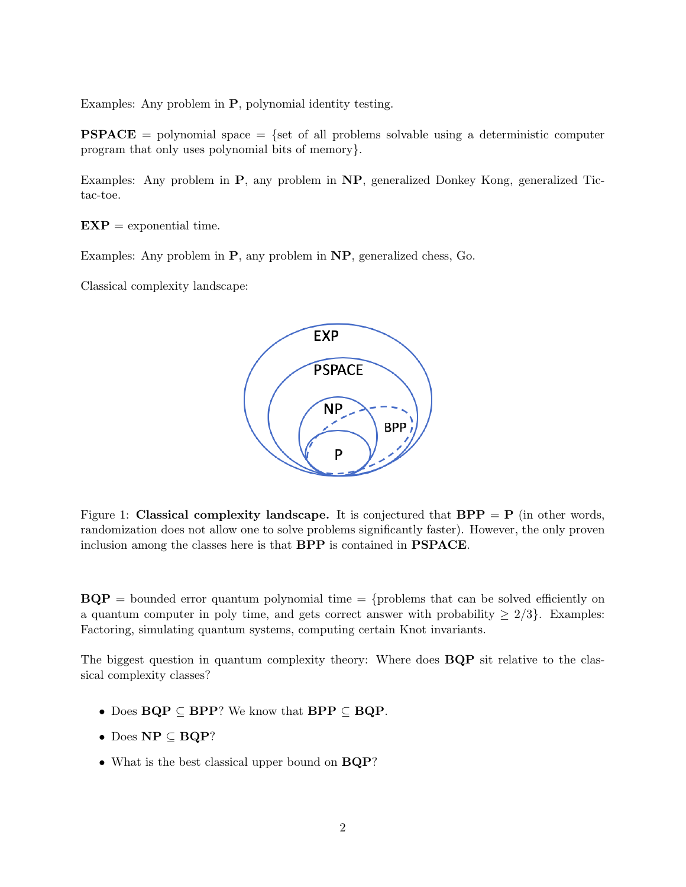Examples: Any problem in P, polynomial identity testing.

**PSPACE** = polynomial space = {set of all problems solvable using a deterministic computer program that only uses polynomial bits of memory}.

Examples: Any problem in P, any problem in NP, generalized Donkey Kong, generalized Tictac-toe.

 $EXP = exponential time.$ 

Examples: Any problem in P, any problem in NP, generalized chess, Go.

Classical complexity landscape:



Figure 1: Classical complexity landscape. It is conjectured that  $BPP = P$  (in other words, randomization does not allow one to solve problems significantly faster). However, the only proven inclusion among the classes here is that BPP is contained in PSPACE.

 $BQP =$  bounded error quantum polynomial time  $=$  {problems that can be solved efficiently on a quantum computer in poly time, and gets correct answer with probability  $\geq 2/3$ . Examples: Factoring, simulating quantum systems, computing certain Knot invariants.

The biggest question in quantum complexity theory: Where does **BQP** sit relative to the classical complexity classes?

- Does  $BQP \subseteq BPP$ ? We know that  $BPP \subseteq BQP$ .
- Does  $\mathbf{NP} \subseteq \mathbf{BQP}$ ?
- What is the best classical upper bound on  $BQP$ ?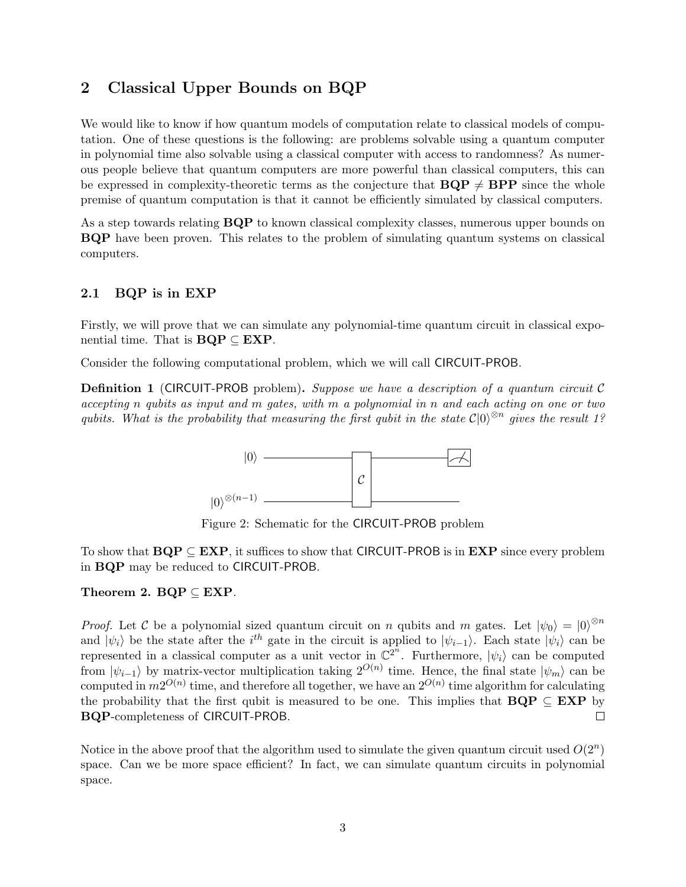### 2 Classical Upper Bounds on BQP

We would like to know if how quantum models of computation relate to classical models of computation. One of these questions is the following: are problems solvable using a quantum computer in polynomial time also solvable using a classical computer with access to randomness? As numerous people believe that quantum computers are more powerful than classical computers, this can be expressed in complexity-theoretic terms as the conjecture that  $BQP \neq BPP$  since the whole premise of quantum computation is that it cannot be efficiently simulated by classical computers.

As a step towards relating **BQP** to known classical complexity classes, numerous upper bounds on BQP have been proven. This relates to the problem of simulating quantum systems on classical computers.

#### 2.1 BQP is in EXP

Firstly, we will prove that we can simulate any polynomial-time quantum circuit in classical exponential time. That is  $BQP \subseteq EXP$ .

Consider the following computational problem, which we will call CIRCUIT-PROB.

**Definition 1** (CIRCUIT-PROB problem). Suppose we have a description of a quantum circuit  $\mathcal{C}$ accepting n qubits as input and m gates, with m a polynomial in n and each acting on one or two qubits. What is the probability that measuring the first qubit in the state  $\mathcal{C}|0\rangle^{\otimes n}$  gives the result 1?



Figure 2: Schematic for the CIRCUIT-PROB problem

To show that  $BQP \subseteq EXP$ , it suffices to show that CIRCUIT-PROB is in  $EXP$  since every problem in BQP may be reduced to CIRCUIT-PROB.

Theorem 2.  $BQP \subseteq EXP$ .

*Proof.* Let C be a polynomial sized quantum circuit on n qubits and m gates. Let  $|\psi_0\rangle = |0\rangle^{\otimes n}$ and  $|\psi_i\rangle$  be the state after the i<sup>th</sup> gate in the circuit is applied to  $|\psi_{i-1}\rangle$ . Each state  $|\psi_i\rangle$  can be represented in a classical computer as a unit vector in  $\mathbb{C}^{2^n}$ . Furthermore,  $|\psi_i\rangle$  can be computed from  $|\psi_{i-1}\rangle$  by matrix-vector multiplication taking  $2^{O(n)}$  time. Hence, the final state  $|\psi_m\rangle$  can be computed in  $m2^{O(n)}$  time, and therefore all together, we have an  $2^{O(n)}$  time algorithm for calculating the probability that the first qubit is measured to be one. This implies that  $BQP \subseteq EXP$  by BQP-completeness of CIRCUIT-PROB.  $\Box$ 

Notice in the above proof that the algorithm used to simulate the given quantum circuit used  $O(2^n)$ space. Can we be more space efficient? In fact, we can simulate quantum circuits in polynomial space.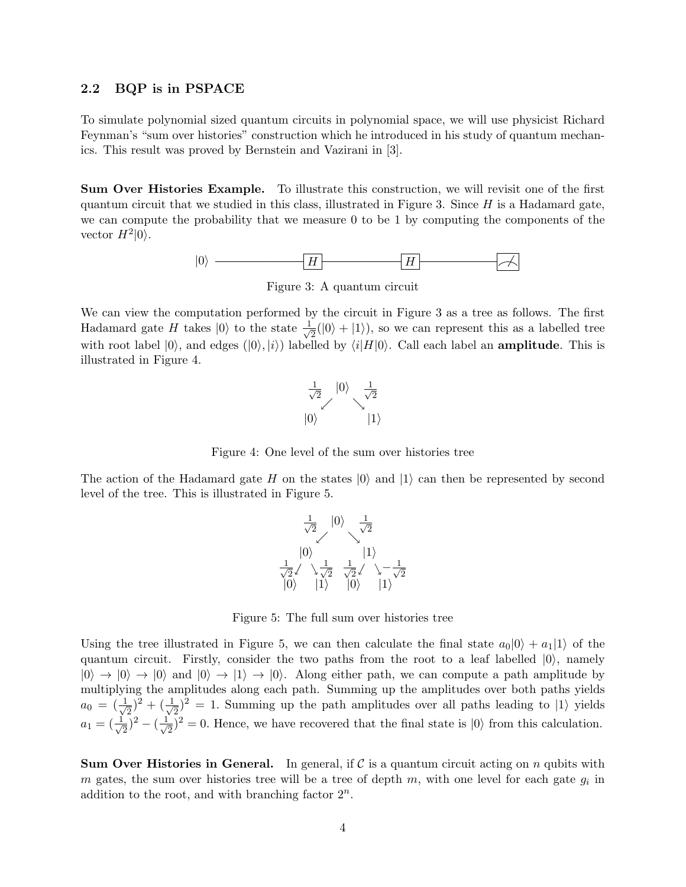#### 2.2 BQP is in PSPACE

To simulate polynomial sized quantum circuits in polynomial space, we will use physicist Richard Feynman's "sum over histories" construction which he introduced in his study of quantum mechanics. This result was proved by Bernstein and Vazirani in [3].

Sum Over Histories Example. To illustrate this construction, we will revisit one of the first quantum circuit that we studied in this class, illustrated in Figure 3. Since  $H$  is a Hadamard gate, we can compute the probability that we measure 0 to be 1 by computing the components of the vector  $H^2|0\rangle$ .



Figure 3: A quantum circuit

We can view the computation performed by the circuit in Figure 3 as a tree as follows. The first Hadamard gate H takes  $|0\rangle$  to the state  $\frac{1}{\sqrt{2}}$  $\overline{z}(0|0\rangle + |1\rangle)$ , so we can represent this as a labelled tree with root label  $|0\rangle$ , and edges  $(|0\rangle, |i\rangle)$  labelled by  $\langle i|H|0\rangle$ . Call each label an **amplitude**. This is illustrated in Figure 4.



Figure 4: One level of the sum over histories tree

The action of the Hadamard gate H on the states  $|0\rangle$  and  $|1\rangle$  can then be represented by second level of the tree. This is illustrated in Figure 5.



Figure 5: The full sum over histories tree

Using the tree illustrated in Figure 5, we can then calculate the final state  $a_0|0\rangle + a_1|1\rangle$  of the quantum circuit. Firstly, consider the two paths from the root to a leaf labelled  $|0\rangle$ , namely  $|0\rangle \rightarrow |0\rangle \rightarrow |0\rangle$  and  $|0\rangle \rightarrow |1\rangle \rightarrow |0\rangle$ . Along either path, we can compute a path amplitude by multiplying the amplitudes along each path. Summing up the amplitudes over both paths yields  $a_0 = (\frac{1}{\sqrt{2}})$  $(\frac{1}{\sqrt{2}})^2 + (\frac{1}{\sqrt{2}})$  $\overline{2}$ )<sup>2</sup> = 1. Summing up the path amplitudes over all paths leading to  $|1\rangle$  yields  $a_1 = (\frac{1}{\sqrt{2}})$  $(\frac{1}{\sqrt{2}})^2 - (\frac{1}{\sqrt{2}})$  $\frac{1}{2}$ )<sup>2</sup> = 0. Hence, we have recovered that the final state is  $|0\rangle$  from this calculation.

**Sum Over Histories in General.** In general, if  $\mathcal{C}$  is a quantum circuit acting on n qubits with m gates, the sum over histories tree will be a tree of depth  $m$ , with one level for each gate  $g_i$  in addition to the root, and with branching factor  $2^n$ .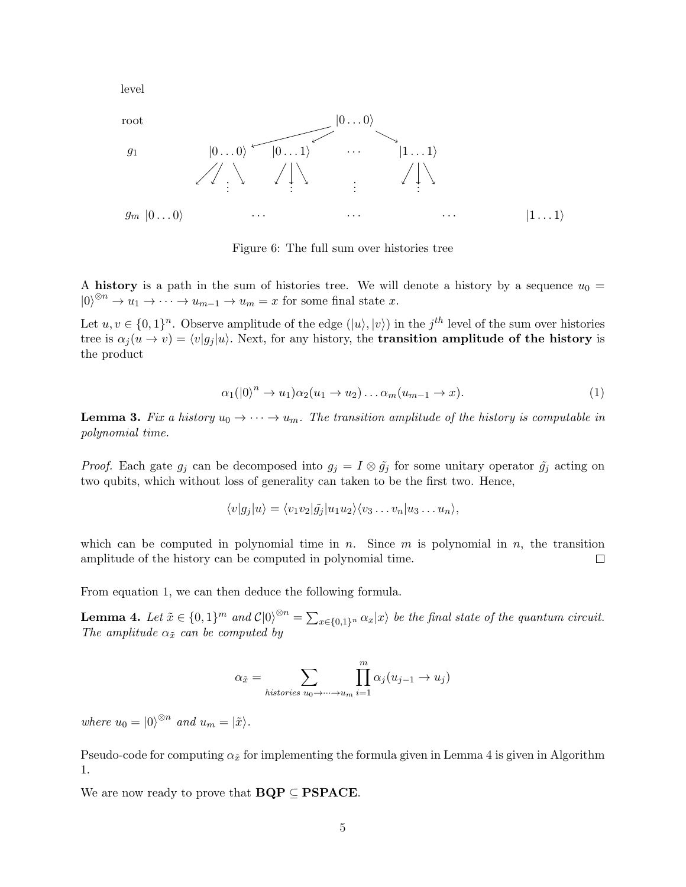level



Figure 6: The full sum over histories tree

A history is a path in the sum of histories tree. We will denote a history by a sequence  $u_0 =$  $|0\rangle^{\otimes n} \to u_1 \to \cdots \to u_{m-1} \to u_m = x$  for some final state x.

Let  $u, v \in \{0,1\}^n$ . Observe amplitude of the edge  $(|u\rangle, |v\rangle)$  in the j<sup>th</sup> level of the sum over histories tree is  $\alpha_i (u \to v) = \langle v|g_i |u\rangle$ . Next, for any history, the **transition amplitude of the history** is the product

$$
\alpha_1(|0\rangle^n \to u_1)\alpha_2(u_1 \to u_2)\dots \alpha_m(u_{m-1} \to x). \tag{1}
$$

**Lemma 3.** Fix a history  $u_0 \to \cdots \to u_m$ . The transition amplitude of the history is computable in polynomial time.

*Proof.* Each gate  $g_j$  can be decomposed into  $g_j = I \otimes \tilde{g}_j$  for some unitary operator  $\tilde{g}_j$  acting on two qubits, which without loss of generality can taken to be the first two. Hence,

$$
\langle v|g_j|u\rangle = \langle v_1v_2|\tilde{g}_j|u_1u_2\rangle \langle v_3 \dots v_n|u_3 \dots u_n\rangle,
$$

which can be computed in polynomial time in n. Since  $m$  is polynomial in  $n$ , the transition amplitude of the history can be computed in polynomial time.  $\Box$ 

From equation 1, we can then deduce the following formula.

**Lemma 4.** Let  $\tilde{x} \in \{0,1\}^m$  and  $\mathcal{C}|0\rangle^{\otimes n} = \sum_{x \in \{0,1\}^n} \alpha_x |x\rangle$  be the final state of the quantum circuit. The amplitude  $\alpha_{\tilde{x}}$  can be computed by

$$
\alpha_{\tilde{x}} = \sum_{histories \ u_0 \to \dots \to u_m} \prod_{i=1}^m \alpha_j(u_{j-1} \to u_j)
$$

where  $u_0 = |0\rangle^{\otimes n}$  and  $u_m = |\tilde{x}\rangle$ .

Pseudo-code for computing  $\alpha_{\tilde{x}}$  for implementing the formula given in Lemma 4 is given in Algorithm 1.

We are now ready to prove that  $BQP \subseteq PSPACE$ .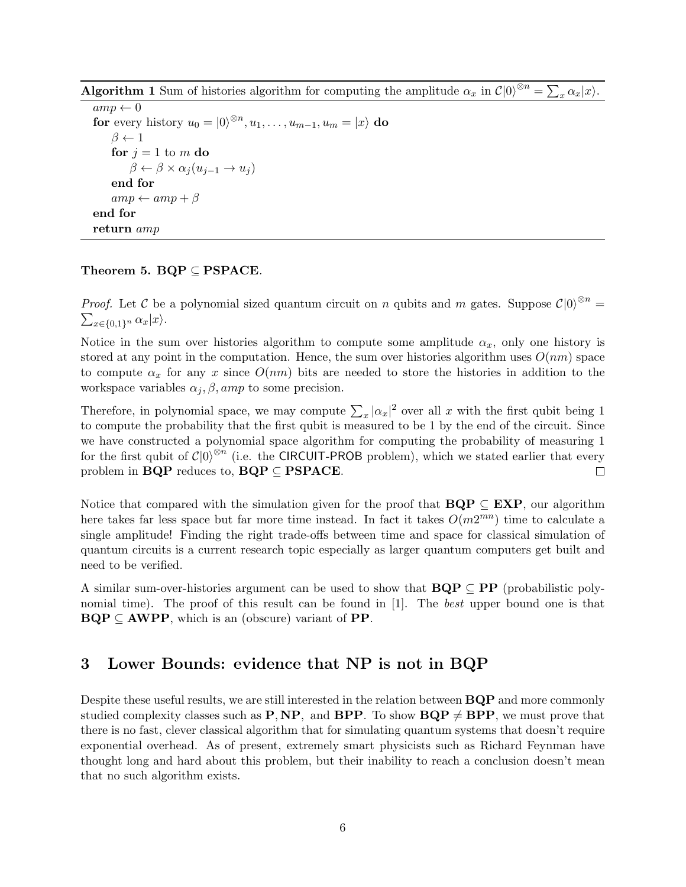**Algorithm 1** Sum of histories algorithm for computing the amplitude  $\alpha_x$  in  $\mathcal{C}|0\rangle^{\otimes n} = \sum_x \alpha_x |x\rangle$ .

 $\overline{amp \leftarrow 0}$ for every history  $u_0 = |0\rangle^{\otimes n}, u_1, \ldots, u_{m-1}, u_m = |x\rangle$  do  $\beta \leftarrow 1$ for  $j = 1$  to m do  $\beta \leftarrow \beta \times \alpha_j (u_{j-1} \rightarrow u_j)$ end for  $amp \leftarrow amp + \beta$ end for return amp

#### Theorem 5.  $BQP \subseteq PSPACE$ .

*Proof.* Let C be a polynomial sized quantum circuit on n qubits and m gates. Suppose  $C|0\rangle^{\otimes n} = \sum_{x \in \{0,1\}^n} \alpha_x |x\rangle$ .  $\sum_{x \in \{0,1\}^n} \alpha_x |x\rangle.$ 

Notice in the sum over histories algorithm to compute some amplitude  $\alpha_x$ , only one history is stored at any point in the computation. Hence, the sum over histories algorithm uses  $O(nm)$  space to compute  $\alpha_x$  for any x since  $O(nm)$  bits are needed to store the histories in addition to the workspace variables  $\alpha_j$ ,  $\beta$ , amp to some precision.

Therefore, in polynomial space, we may compute  $\sum_{x} |\alpha_x|^2$  over all x with the first qubit being 1 to compute the probability that the first qubit is measured to be 1 by the end of the circuit. Since we have constructed a polynomial space algorithm for computing the probability of measuring 1 for the first qubit of  $\mathcal{C}|0\rangle^{\otimes n}$  (i.e. the CIRCUIT-PROB problem), which we stated earlier that every problem in  $BQP$  reduces to,  $BQP \subseteq PSPACE$ .  $\Box$ 

Notice that compared with the simulation given for the proof that  $BQP \subseteq EXP$ , our algorithm here takes far less space but far more time instead. In fact it takes  $O(m2^{mn})$  time to calculate a single amplitude! Finding the right trade-offs between time and space for classical simulation of quantum circuits is a current research topic especially as larger quantum computers get built and need to be verified.

A similar sum-over-histories argument can be used to show that  $BQP \subseteq PP$  (probabilistic polynomial time). The proof of this result can be found in [1]. The *best* upper bound one is that  $BQP \subseteq AWPP$ , which is an (obscure) variant of PP.

### 3 Lower Bounds: evidence that NP is not in BQP

Despite these useful results, we are still interested in the relation between BQP and more commonly studied complexity classes such as **P**, **NP**, and **BPP**. To show **BQP**  $\neq$  **BPP**, we must prove that there is no fast, clever classical algorithm that for simulating quantum systems that doesn't require exponential overhead. As of present, extremely smart physicists such as Richard Feynman have thought long and hard about this problem, but their inability to reach a conclusion doesn't mean that no such algorithm exists.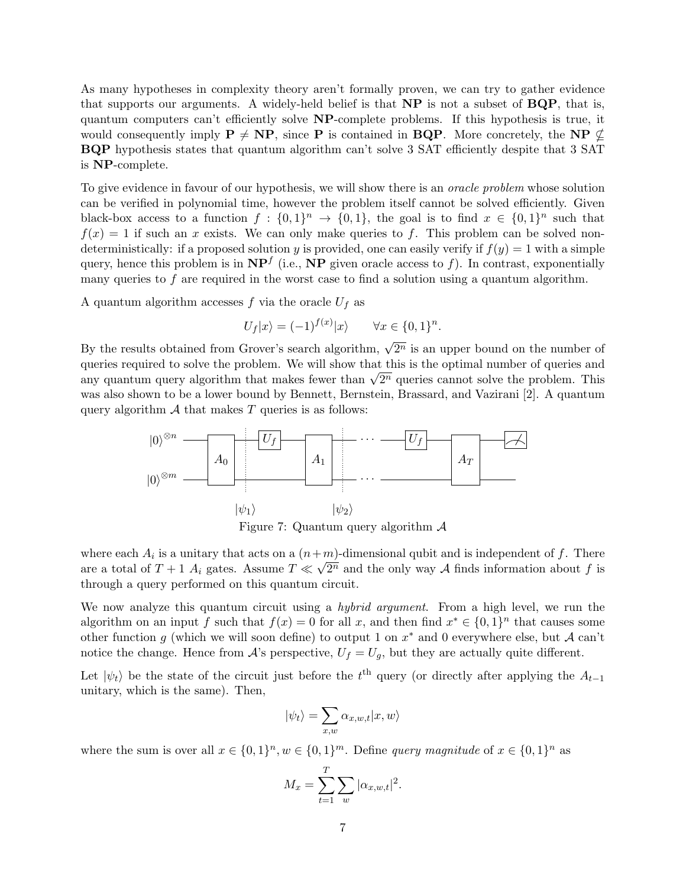As many hypotheses in complexity theory aren't formally proven, we can try to gather evidence that supports our arguments. A widely-held belief is that NP is not a subset of BQP, that is, quantum computers can't efficiently solve NP-complete problems. If this hypothesis is true, it would consequently imply  $P \neq NP$ , since P is contained in BQP. More concretely, the NP  $\nsubseteq$ BQP hypothesis states that quantum algorithm can't solve 3 SAT efficiently despite that 3 SAT is NP-complete.

To give evidence in favour of our hypothesis, we will show there is an *oracle problem* whose solution can be verified in polynomial time, however the problem itself cannot be solved efficiently. Given black-box access to a function  $f: \{0,1\}^n \to \{0,1\}$ , the goal is to find  $x \in \{0,1\}^n$  such that  $f(x) = 1$  if such an x exists. We can only make queries to f. This problem can be solved nondeterministically: if a proposed solution y is provided, one can easily verify if  $f(y) = 1$  with a simple query, hence this problem is in  $NP<sup>f</sup>$  (i.e., NP given oracle access to f). In contrast, exponentially many queries to  $f$  are required in the worst case to find a solution using a quantum algorithm.

A quantum algorithm accesses  $f$  via the oracle  $U_f$  as

$$
U_f|x\rangle = (-1)^{f(x)}|x\rangle \qquad \forall x \in \{0,1\}^n.
$$

By the results obtained from Grover's search algorithm,  $\sqrt{2^n}$  is an upper bound on the number of queries required to solve the problem. We will show that this is the optimal number of queries and queries required to solve the problem. We will show that this is the optimal number of queries and<br>any quantum query algorithm that makes fewer than  $\sqrt{2^n}$  queries cannot solve the problem. This was also shown to be a lower bound by Bennett, Bernstein, Brassard, and Vazirani [2]. A quantum query algorithm  $A$  that makes  $T$  queries is as follows:



Figure 7: Quantum query algorithm  $\mathcal A$ 

where each  $A_i$  is a unitary that acts on a  $(n+m)$ -dimensional qubit and is independent of f. There are a total of  $T+1$   $A_i$  gates. Assume  $T \ll \sqrt{2^n}$  and the only way A finds information about f is through a query performed on this quantum circuit.

We now analyze this quantum circuit using a *hybrid argument*. From a high level, we run the algorithm on an input f such that  $f(x) = 0$  for all x, and then find  $x^* \in \{0,1\}^n$  that causes some other function g (which we will soon define) to output 1 on  $x^*$  and 0 everywhere else, but A can't notice the change. Hence from  $A$ 's perspective,  $U_f = U_g$ , but they are actually quite different.

Let  $|\psi_t\rangle$  be the state of the circuit just before the t<sup>th</sup> query (or directly after applying the  $A_{t-1}$ unitary, which is the same). Then,

$$
|\psi_t\rangle = \sum_{x,w} \alpha_{x,w,t} |x,w\rangle
$$

where the sum is over all  $x \in \{0,1\}^n$ ,  $w \in \{0,1\}^m$ . Define *query magnitude* of  $x \in \{0,1\}^n$  as

$$
M_x = \sum_{t=1}^{T} \sum_{w} |\alpha_{x,w,t}|^2.
$$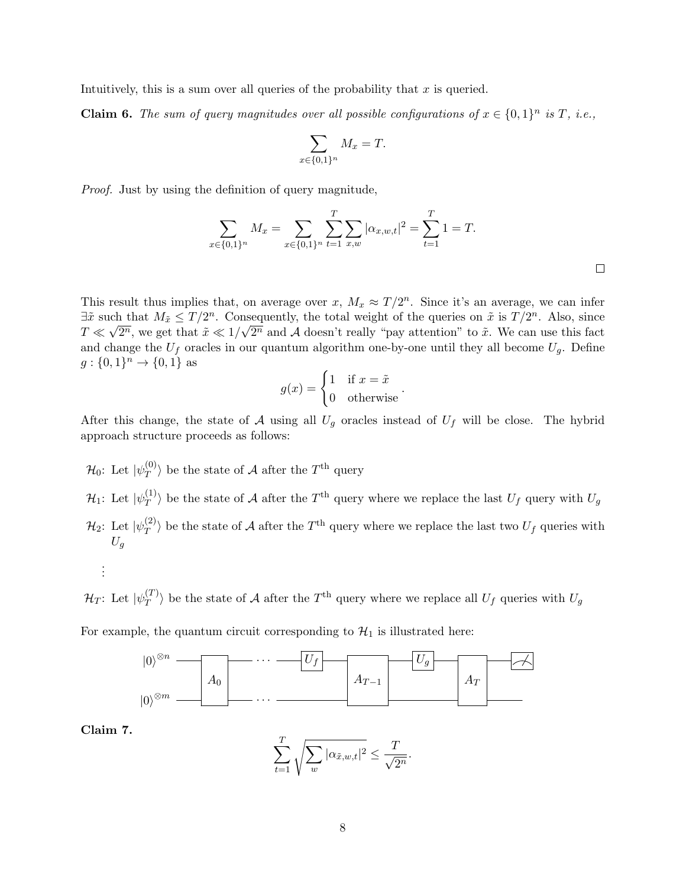Intuitively, this is a sum over all queries of the probability that  $x$  is queried.

**Claim 6.** The sum of query magnitudes over all possible configurations of  $x \in \{0,1\}^n$  is T, i.e.,

$$
\sum_{x \in \{0,1\}^n} M_x = T.
$$

Proof. Just by using the definition of query magnitude,

$$
\sum_{x \in \{0,1\}^n} M_x = \sum_{x \in \{0,1\}^n} \sum_{t=1}^T \sum_{x,w} |\alpha_{x,w,t}|^2 = \sum_{t=1}^T 1 = T.
$$

This result thus implies that, on average over x,  $M_x \approx T/2^n$ . Since it's an average, we can infer  $\exists \tilde{x}$  such that  $M_{\tilde{x}} \leq T/2^n$ . Consequently, the total weight of the queries on  $\tilde{x}$  is  $T/2^n$ . Also, since  $T \ll \sqrt{2^n}$ , we get that  $\tilde{x} \ll 1/\sqrt{2^n}$  and A doesn't really "pay attention" to  $\tilde{x}$ . We can use this fact and change the  $U_f$  oracles in our quantum algorithm one-by-one until they all become  $U_g$ . Define  $g: \{0,1\}^n \to \{0,1\}$  as

$$
g(x) = \begin{cases} 1 & \text{if } x = \tilde{x} \\ 0 & \text{otherwise} \end{cases}.
$$

After this change, the state of A using all  $U_g$  oracles instead of  $U_f$  will be close. The hybrid approach structure proceeds as follows:

 $\mathcal{H}_0$ : Let  $|\psi^{(0)}_{T}\rangle$  $\langle \mathcal{T}^{(0)} \rangle$  be the state of A after the  $T^{\text{th}}$  query  $\mathcal{H}_1$ : Let  $|\psi^{(1)}_T \rangle$  $\binom{11}{T}$  be the state of A after the T<sup>th</sup> query where we replace the last  $U_f$  query with  $U_g$  $\mathcal{H}_2$ : Let  $|\psi_T^{(2)}\>$  $\langle T \rangle$  be the state of A after the  $T<sup>th</sup>$  query where we replace the last two  $U_f$  queries with  $U_a$ 

$$
\frac{1}{2}
$$

 $\mathcal{H}_T$ : Let  $|\psi_T^{(T)}\>$  $\langle T \rangle$  be the state of A after the  $T<sup>th</sup>$  query where we replace all  $U_f$  queries with  $U_g$ 

For example, the quantum circuit corresponding to  $\mathcal{H}_1$  is illustrated here:



Claim 7.

$$
\sum_{t=1}^{T} \sqrt{\sum_{w} |\alpha_{\tilde{x},w,t}|^2} \leq \frac{T}{\sqrt{2^n}}.
$$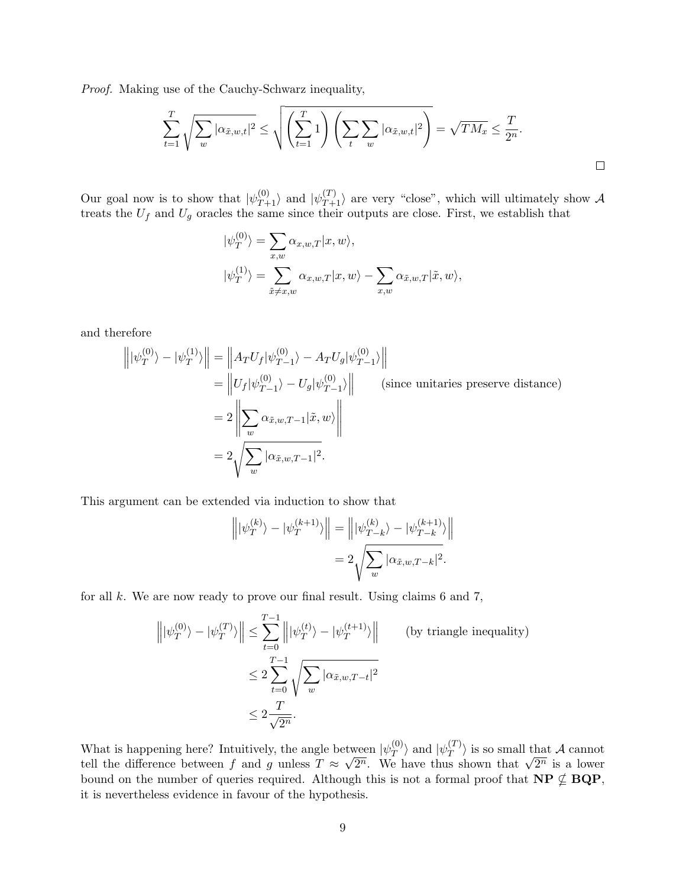Proof. Making use of the Cauchy-Schwarz inequality,

$$
\sum_{t=1}^T \sqrt{\sum_w |\alpha_{\tilde{x},w,t}|^2} \le \sqrt{\left(\sum_{t=1}^T 1\right) \left(\sum_t \sum_w |\alpha_{\tilde{x},w,t}|^2\right)} = \sqrt{TM_x} \le \frac{T}{2^n}.
$$

Our goal now is to show that  $|\psi_{T+1}^{(0)}\rangle$  and  $|\psi_{T+1}^{(T)}\rangle$  are very "close", which will ultimately show A treats the  $U_f$  and  $U_g$  oracles the same since their outputs are close. First, we establish that

$$
\begin{aligned} |\psi_T^{(0)}\rangle &= \sum_{x,w} \alpha_{x,w,T} |x, w\rangle, \\ |\psi_T^{(1)}\rangle &= \sum_{\tilde{x}\neq x,w} \alpha_{x,w,T} |x, w\rangle - \sum_{x,w} \alpha_{\tilde{x},w,T} |\tilde{x}, w\rangle, \end{aligned}
$$

and therefore

$$
\left\| |\psi_T^{(0)}\rangle - |\psi_T^{(1)}\rangle \right\| = \left\| A_T U_f |\psi_{T-1}^{(0)}\rangle - A_T U_g |\psi_{T-1}^{(0)}\rangle \right\|
$$
\n
$$
= \left\| U_f |\psi_{T-1}^{(0)}\rangle - U_g |\psi_{T-1}^{(0)}\rangle \right\| \quad \text{(since unitaries preserve distance)}
$$
\n
$$
= 2 \left\| \sum_w \alpha_{\tilde{x},w,T-1} |\tilde{x},w\rangle \right\|
$$
\n
$$
= 2 \sqrt{\sum_w |\alpha_{\tilde{x},w,T-1}|^2}.
$$

This argument can be extended via induction to show that

$$
\left\| |\psi_T^{(k)} \rangle - |\psi_T^{(k+1)} \rangle \right\| = \left\| |\psi_{T-k}^{(k)} \rangle - |\psi_{T-k}^{(k+1)} \rangle \right\|
$$
  
= 
$$
2 \sqrt{\sum_{w} |\alpha_{\tilde{x},w,T-k}|^2}.
$$

for all k. We are now ready to prove our final result. Using claims 6 and 7,

$$
\left\| |\psi_T^{(0)}\rangle - |\psi_T^{(T)}\rangle \right\| \le \sum_{t=0}^{T-1} \left\| |\psi_T^{(t)}\rangle - |\psi_T^{(t+1)}\rangle \right\| \qquad \text{(by triangle inequality)}
$$

$$
\le 2 \sum_{t=0}^{T-1} \sqrt{\sum_w |\alpha_{\tilde{x},w,T-t}|^2}
$$

$$
\le 2 \frac{T}{\sqrt{2^n}}.
$$

What is happening here? Intuitively, the angle between  $|\psi_T^{(0)}\rangle$  $\vert \psi_T^{(0)} \rangle$  and  $\vert \psi_T^{(T)} \vert$  $\langle T \rangle$  is so small that A cannot tell the difference between f and g unless  $T \approx$ √ been  $|\psi_T^{\perp}\rangle$  and  $|\psi_T^{\perp}\rangle$  is so small that A cannot<br> $2^n$ . We have thus shown that  $\sqrt{2^n}$  is a lower bound on the number of queries required. Although this is not a formal proof that  $NP \nsubseteq BQP$ , it is nevertheless evidence in favour of the hypothesis.